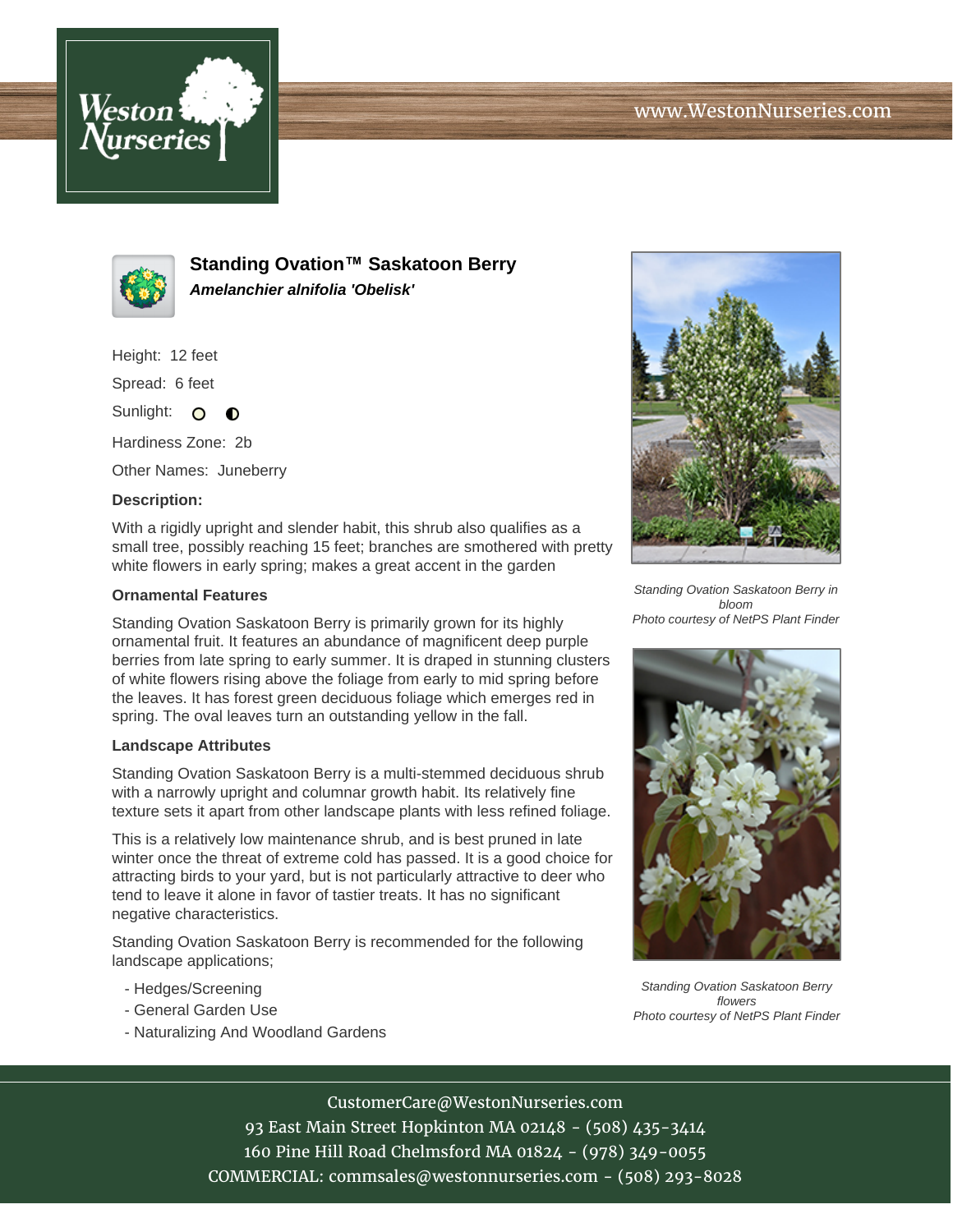



**Standing Ovation™ Saskatoon Berry Amelanchier alnifolia 'Obelisk'**

Height: 12 feet

Spread: 6 feet

Sunlight: O  $\bullet$ 

Hardiness Zone: 2b

Other Names: Juneberry

## **Description:**

With a rigidly upright and slender habit, this shrub also qualifies as a small tree, possibly reaching 15 feet; branches are smothered with pretty white flowers in early spring; makes a great accent in the garden

## **Ornamental Features**

Standing Ovation Saskatoon Berry is primarily grown for its highly ornamental fruit. It features an abundance of magnificent deep purple berries from late spring to early summer. It is draped in stunning clusters of white flowers rising above the foliage from early to mid spring before the leaves. It has forest green deciduous foliage which emerges red in spring. The oval leaves turn an outstanding yellow in the fall.

## **Landscape Attributes**

Standing Ovation Saskatoon Berry is a multi-stemmed deciduous shrub with a narrowly upright and columnar growth habit. Its relatively fine texture sets it apart from other landscape plants with less refined foliage.

This is a relatively low maintenance shrub, and is best pruned in late winter once the threat of extreme cold has passed. It is a good choice for attracting birds to your yard, but is not particularly attractive to deer who tend to leave it alone in favor of tastier treats. It has no significant negative characteristics.

Standing Ovation Saskatoon Berry is recommended for the following landscape applications;

- Hedges/Screening
- General Garden Use
- Naturalizing And Woodland Gardens



Standing Ovation Saskatoon Berry in bloom Photo courtesy of NetPS Plant Finder



Standing Ovation Saskatoon Berry flowers Photo courtesy of NetPS Plant Finder

CustomerCare@WestonNurseries.com 93 East Main Street Hopkinton MA 02148 - (508) 435-3414 160 Pine Hill Road Chelmsford MA 01824 - (978) 349-0055 COMMERCIAL: commsales@westonnurseries.com - (508) 293-8028